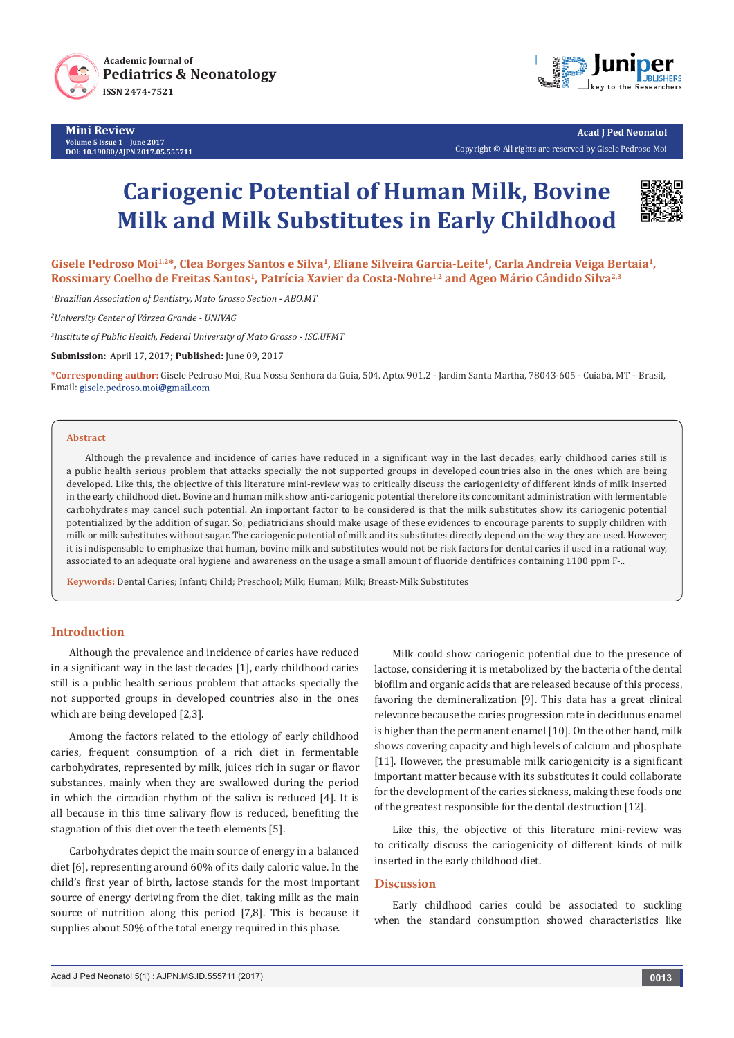



**Acad J Ped Neonatol** Copyright © All rights are reserved by Gisele Pedroso Moi

# **Cariogenic Potential of Human Milk, Bovine Milk and Milk Substitutes in Early Childhood**



**Gisele Pedroso Moi1,2\*, Clea Borges Santos e Silva1, Eliane Silveira Garcia-Leite1, Carla Andreia Veiga Bertaia1, Rossimary Coelho de Freitas Santos1, Patrícia Xavier da Costa-Nobre1,2 and Ageo Mário Cândido Silva2,3**

*1 Brazilian Association of Dentistry, Mato Grosso Section - ABO.MT*

*2 University Center of Várzea Grande - UNIVAG* 

*3 Institute of Public Health, Federal University of Mato Grosso - ISC.UFMT*

**Submission:** April 17, 2017; **Published:** June 09, 2017

**\*Corresponding author:** Gisele Pedroso Moi, Rua Nossa Senhora da Guia, 504. Apto. 901.2 - Jardim Santa Martha, 78043-605 - Cuiabá, MT – Brasil, Email: gisele.pedroso.moi@gmail.com

#### **Abstract**

Although the prevalence and incidence of caries have reduced in a significant way in the last decades, early childhood caries still is a public health serious problem that attacks specially the not supported groups in developed countries also in the ones which are being developed. Like this, the objective of this literature mini-review was to critically discuss the cariogenicity of different kinds of milk inserted in the early childhood diet. Bovine and human milk show anti-cariogenic potential therefore its concomitant administration with fermentable carbohydrates may cancel such potential. An important factor to be considered is that the milk substitutes show its cariogenic potential potentialized by the addition of sugar. So, pediatricians should make usage of these evidences to encourage parents to supply children with milk or milk substitutes without sugar. The cariogenic potential of milk and its substitutes directly depend on the way they are used. However, it is indispensable to emphasize that human, bovine milk and substitutes would not be risk factors for dental caries if used in a rational way, associated to an adequate oral hygiene and awareness on the usage a small amount of fluoride dentifrices containing 1100 ppm F-..

**Keywords:** Dental Caries; Infant; Child; Preschool; Milk; Human; Milk; Breast-Milk Substitutes

## **Introduction**

Although the prevalence and incidence of caries have reduced in a significant way in the last decades [1], early childhood caries still is a public health serious problem that attacks specially the not supported groups in developed countries also in the ones which are being developed [2,3].

Among the factors related to the etiology of early childhood caries, frequent consumption of a rich diet in fermentable carbohydrates, represented by milk, juices rich in sugar or flavor substances, mainly when they are swallowed during the period in which the circadian rhythm of the saliva is reduced [4]. It is all because in this time salivary flow is reduced, benefiting the stagnation of this diet over the teeth elements [5].

Carbohydrates depict the main source of energy in a balanced diet [6], representing around 60% of its daily caloric value. In the child's first year of birth, lactose stands for the most important source of energy deriving from the diet, taking milk as the main source of nutrition along this period [7,8]. This is because it supplies about 50% of the total energy required in this phase.

Milk could show cariogenic potential due to the presence of lactose, considering it is metabolized by the bacteria of the dental biofilm and organic acids that are released because of this process, favoring the demineralization [9]. This data has a great clinical relevance because the caries progression rate in deciduous enamel is higher than the permanent enamel [10]. On the other hand, milk shows covering capacity and high levels of calcium and phosphate [11]. However, the presumable milk cariogenicity is a significant important matter because with its substitutes it could collaborate for the development of the caries sickness, making these foods one of the greatest responsible for the dental destruction [12].

Like this, the objective of this literature mini-review was to critically discuss the cariogenicity of different kinds of milk inserted in the early childhood diet.

### **Discussion**

Early childhood caries could be associated to suckling when the standard consumption showed characteristics like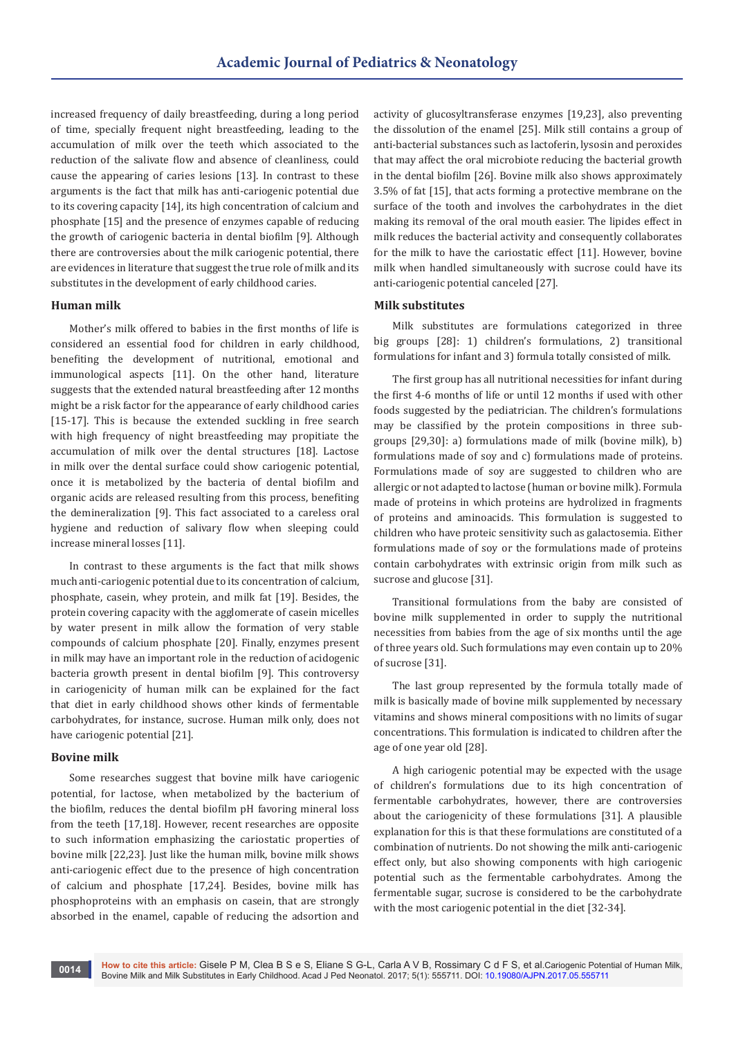increased frequency of daily breastfeeding, during a long period of time, specially frequent night breastfeeding, leading to the accumulation of milk over the teeth which associated to the reduction of the salivate flow and absence of cleanliness, could cause the appearing of caries lesions [13]. In contrast to these arguments is the fact that milk has anti-cariogenic potential due to its covering capacity [14], its high concentration of calcium and phosphate [15] and the presence of enzymes capable of reducing the growth of cariogenic bacteria in dental biofilm [9]. Although there are controversies about the milk cariogenic potential, there are evidences in literature that suggest the true role of milk and its substitutes in the development of early childhood caries.

#### **Human milk**

Mother's milk offered to babies in the first months of life is considered an essential food for children in early childhood, benefiting the development of nutritional, emotional and immunological aspects [11]. On the other hand, literature suggests that the extended natural breastfeeding after 12 months might be a risk factor for the appearance of early childhood caries [15-17]. This is because the extended suckling in free search with high frequency of night breastfeeding may propitiate the accumulation of milk over the dental structures [18]. Lactose in milk over the dental surface could show cariogenic potential, once it is metabolized by the bacteria of dental biofilm and organic acids are released resulting from this process, benefiting the demineralization [9]. This fact associated to a careless oral hygiene and reduction of salivary flow when sleeping could increase mineral losses [11].

In contrast to these arguments is the fact that milk shows much anti-cariogenic potential due to its concentration of calcium, phosphate, casein, whey protein, and milk fat [19]. Besides, the protein covering capacity with the agglomerate of casein micelles by water present in milk allow the formation of very stable compounds of calcium phosphate [20]. Finally, enzymes present in milk may have an important role in the reduction of acidogenic bacteria growth present in dental biofilm [9]. This controversy in cariogenicity of human milk can be explained for the fact that diet in early childhood shows other kinds of fermentable carbohydrates, for instance, sucrose. Human milk only, does not have cariogenic potential [21].

### **Bovine milk**

Some researches suggest that bovine milk have cariogenic potential, for lactose, when metabolized by the bacterium of the biofilm, reduces the dental biofilm pH favoring mineral loss from the teeth [17,18]. However, recent researches are opposite to such information emphasizing the cariostatic properties of bovine milk [22,23]. Just like the human milk, bovine milk shows anti-cariogenic effect due to the presence of high concentration of calcium and phosphate [17,24]. Besides, bovine milk has phosphoproteins with an emphasis on casein, that are strongly absorbed in the enamel, capable of reducing the adsortion and

activity of glucosyltransferase enzymes [19,23], also preventing the dissolution of the enamel [25]. Milk still contains a group of anti-bacterial substances such as lactoferin, lysosin and peroxides that may affect the oral microbiote reducing the bacterial growth in the dental biofilm [26]. Bovine milk also shows approximately 3.5% of fat [15], that acts forming a protective membrane on the surface of the tooth and involves the carbohydrates in the diet making its removal of the oral mouth easier. The lipides effect in milk reduces the bacterial activity and consequently collaborates for the milk to have the cariostatic effect [11]. However, bovine milk when handled simultaneously with sucrose could have its anti-cariogenic potential canceled [27].

## **Milk substitutes**

Milk substitutes are formulations categorized in three big groups [28]: 1) children's formulations, 2) transitional formulations for infant and 3) formula totally consisted of milk.

The first group has all nutritional necessities for infant during the first 4-6 months of life or until 12 months if used with other foods suggested by the pediatrician. The children's formulations may be classified by the protein compositions in three subgroups [29,30]: a) formulations made of milk (bovine milk), b) formulations made of soy and c) formulations made of proteins. Formulations made of soy are suggested to children who are allergic or not adapted to lactose (human or bovine milk). Formula made of proteins in which proteins are hydrolized in fragments of proteins and aminoacids. This formulation is suggested to children who have proteic sensitivity such as galactosemia. Either formulations made of soy or the formulations made of proteins contain carbohydrates with extrinsic origin from milk such as sucrose and glucose [31].

Transitional formulations from the baby are consisted of bovine milk supplemented in order to supply the nutritional necessities from babies from the age of six months until the age of three years old. Such formulations may even contain up to 20% of sucrose [31].

The last group represented by the formula totally made of milk is basically made of bovine milk supplemented by necessary vitamins and shows mineral compositions with no limits of sugar concentrations. This formulation is indicated to children after the age of one year old [28].

A high cariogenic potential may be expected with the usage of children's formulations due to its high concentration of fermentable carbohydrates, however, there are controversies about the cariogenicity of these formulations [31]. A plausible explanation for this is that these formulations are constituted of a combination of nutrients. Do not showing the milk anti-cariogenic effect only, but also showing components with high cariogenic potential such as the fermentable carbohydrates. Among the fermentable sugar, sucrose is considered to be the carbohydrate with the most cariogenic potential in the diet [32-34].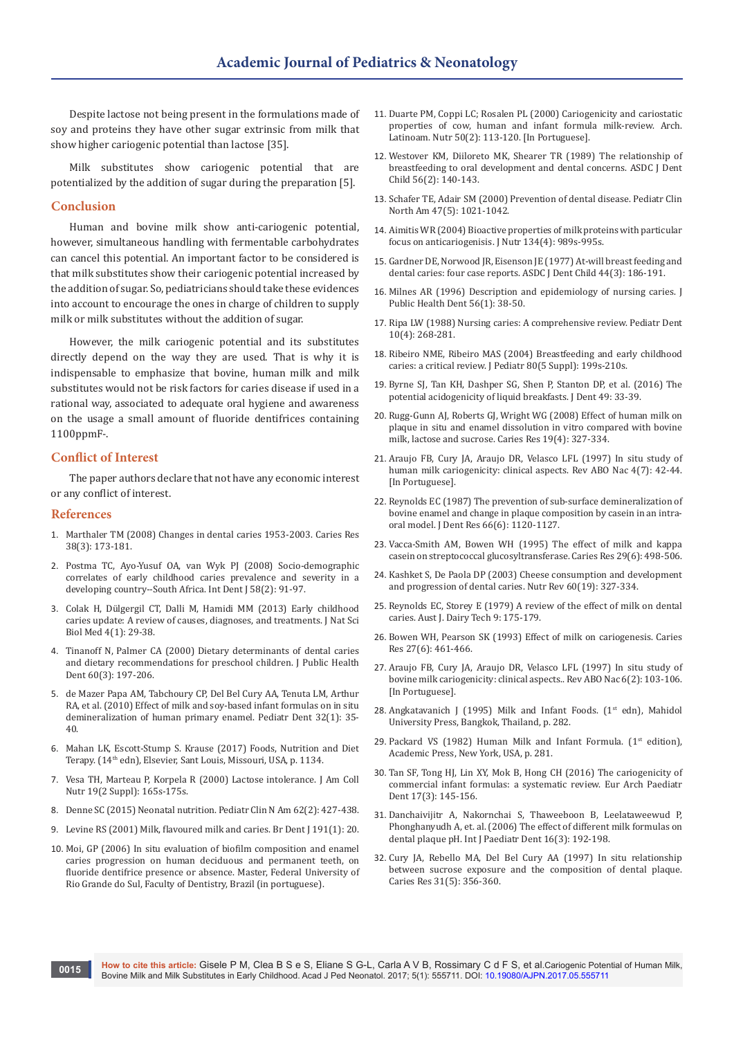Despite lactose not being present in the formulations made of soy and proteins they have other sugar extrinsic from milk that show higher cariogenic potential than lactose [35].

Milk substitutes show cariogenic potential that are potentialized by the addition of sugar during the preparation [5].

### **Conclusion**

Human and bovine milk show anti-cariogenic potential, however, simultaneous handling with fermentable carbohydrates can cancel this potential. An important factor to be considered is that milk substitutes show their cariogenic potential increased by the addition of sugar. So, pediatricians should take these evidences into account to encourage the ones in charge of children to supply milk or milk substitutes without the addition of sugar.

However, the milk cariogenic potential and its substitutes directly depend on the way they are used. That is why it is indispensable to emphasize that bovine, human milk and milk substitutes would not be risk factors for caries disease if used in a rational way, associated to adequate oral hygiene and awareness on the usage a small amount of fluoride dentifrices containing 1100ppmF-.

## **Conflict of Interest**

The paper authors declare that not have any economic interest or any conflict of interest.

#### **References**

- 1. [Marthaler TM \(2008\) Changes in dental caries 1953-2003. Caries Res](https://www.ncbi.nlm.nih.gov/pubmed/15153686)  [38\(3\): 173-181.](https://www.ncbi.nlm.nih.gov/pubmed/15153686)
- 2. [Postma TC, Ayo-Yusuf OA, van Wyk PJ \(2008\) Socio-demographic](https://www.ncbi.nlm.nih.gov/pubmed/18478890)  [correlates of early childhood caries prevalence and severity in a](https://www.ncbi.nlm.nih.gov/pubmed/18478890)  [developing country--South Africa. Int Dent J 58\(2\): 91-97.](https://www.ncbi.nlm.nih.gov/pubmed/18478890)
- 3. Colak H, Dülgergil CT, Dalli M, Hamidi MM (2013) Early childhood caries update: A review of causes, diagnoses, and treatments. J Nat Sci Biol Med 4(1): 29-38.
- 4. [Tinanoff N, Palmer CA \(2000\) Dietary determinants of dental caries](https://www.ncbi.nlm.nih.gov/pubmed/11109219)  [and dietary recommendations for preschool children. J Public Health](https://www.ncbi.nlm.nih.gov/pubmed/11109219)  [Dent 60\(3\): 197-206.](https://www.ncbi.nlm.nih.gov/pubmed/11109219)
- 5. [de Mazer Papa AM, Tabchoury CP, Del Bel Cury AA, Tenuta LM, Arthur](https://www.ncbi.nlm.nih.gov/pubmed/20298651)  [RA, et al. \(2010\) Effect of milk and soy-based infant formulas on in situ](https://www.ncbi.nlm.nih.gov/pubmed/20298651)  [demineralization of human primary enamel. Pediatr Dent 32\(1\): 35-](https://www.ncbi.nlm.nih.gov/pubmed/20298651) [40.](https://www.ncbi.nlm.nih.gov/pubmed/20298651)
- 6. Mahan LK, Escott-Stump S. Krause (2017) Foods, Nutrition and Diet Terapy. (14th edn), Elsevier, Sant Louis, Missouri, USA, p. 1134.
- 7. [Vesa TH, Marteau P, Korpela R \(2000\) Lactose intolerance. J Am Coll](https://www.ncbi.nlm.nih.gov/pubmed/10759141)  [Nutr 19\(2 Suppl\): 165s-175s.](https://www.ncbi.nlm.nih.gov/pubmed/10759141)
- 8. [Denne SC \(2015\) Neonatal nutrition. Pediatr Clin N Am 62\(2\): 427-438.](https://www.ncbi.nlm.nih.gov/pubmed/25836706)
- 9. [Levine RS \(2001\) Milk, flavoured milk and caries. Br Dent J 191\(1\): 20.](https://www.ncbi.nlm.nih.gov/pubmed/11491471)
- 10. Moi, GP (2006) In situ evaluation of biofilm composition and enamel caries progression on human deciduous and permanent teeth, on fluoride dentifrice presence or absence. Master, Federal University of Rio Grande do Sul, Faculty of Dentistry, Brazil (in portuguese).
- 11. [Duarte PM, Coppi LC; Rosalen PL \(2000\) Cariogenicity and cariostatic](https://www.ncbi.nlm.nih.gov/pubmed/11048581)  [properties of cow, human and infant formula milk-review. Arch.](https://www.ncbi.nlm.nih.gov/pubmed/11048581)  [Latinoam. Nutr 50\(2\): 113-120. \[In Portuguese\].](https://www.ncbi.nlm.nih.gov/pubmed/11048581)
- 12. [Westover KM, Diiloreto MK, Shearer TR \(1989\) The relationship of](https://www.ncbi.nlm.nih.gov/pubmed/2656791)  [breastfeeding to oral development and dental concerns. ASDC J Dent](https://www.ncbi.nlm.nih.gov/pubmed/2656791)  [Child 56\(2\): 140-143.](https://www.ncbi.nlm.nih.gov/pubmed/2656791)
- 13. [Schafer TE, Adair SM \(2000\) Prevention of dental disease. Pediatr Clin](https://www.ncbi.nlm.nih.gov/pubmed/11059348)  [North Am 47\(5\): 1021-1042.](https://www.ncbi.nlm.nih.gov/pubmed/11059348)
- 14. [Aimitis WR \(2004\) Bioactive properties of milk proteins with particular](https://www.ncbi.nlm.nih.gov/pubmed/15051859)  [focus on anticariogenisis. J Nutr 134\(4\): 989s-995s.](https://www.ncbi.nlm.nih.gov/pubmed/15051859)
- 15. [Gardner DE, Norwood JR, Eisenson JE \(1977\) At-will breast feeding and](https://www.ncbi.nlm.nih.gov/pubmed/325035)  [dental caries: four case reports. ASDC J Dent Child 44\(3\): 186-191.](https://www.ncbi.nlm.nih.gov/pubmed/325035)
- 16. [Milnes AR \(1996\) Description and epidemiology of nursing caries. J](https://www.ncbi.nlm.nih.gov/pubmed/8667317)  [Public Health Dent 56\(1\): 38-50.](https://www.ncbi.nlm.nih.gov/pubmed/8667317)
- 17. [Ripa LW \(1988\) Nursing caries: A comprehensive review. Pediatr Dent](https://www.ncbi.nlm.nih.gov/pubmed/3078603)  [10\(4\): 268-281.](https://www.ncbi.nlm.nih.gov/pubmed/3078603)
- 18. [Ribeiro NME, Ribeiro MAS \(2004\) Breastfeeding and early childhood](https://www.ncbi.nlm.nih.gov/pubmed/15583771)  [caries: a critical review. J Pediatr 80\(5 Suppl\): 199s-210s.](https://www.ncbi.nlm.nih.gov/pubmed/15583771)
- 19. [Byrne SJ, Tan KH, Dashper SG, Shen P, Stanton DP, et al. \(2016\) The](https://www.ncbi.nlm.nih.gov/pubmed/27109215)  [potential acidogenicity of liquid breakfasts. J Dent 49: 33-39.](https://www.ncbi.nlm.nih.gov/pubmed/27109215)
- 20. [Rugg-Gunn AJ, Roberts GJ, Wright WG \(2008\) Effect of human milk on](https://www.ncbi.nlm.nih.gov/pubmed/3861254)  [plaque in situ and enamel dissolution in vitro compared with bovine](https://www.ncbi.nlm.nih.gov/pubmed/3861254)  [milk, lactose and sucrose. Caries Res 19\(4\): 327-334.](https://www.ncbi.nlm.nih.gov/pubmed/3861254)
- 21. Araujo FB, Cury JA, Araujo DR, Velasco LFL (1997) In situ study of human milk cariogenicity: clinical aspects. Rev ABO Nac 4(7): 42-44. [In Portuguese].
- 22. [Reynolds EC \(1987\) The prevention of sub-surface demineralization of](https://www.ncbi.nlm.nih.gov/pubmed/3476583)  [bovine enamel and change in plaque composition by casein in an intra](https://www.ncbi.nlm.nih.gov/pubmed/3476583)[oral model. J Dent Res 66\(6\): 1120-1127.](https://www.ncbi.nlm.nih.gov/pubmed/3476583)
- 23. [Vacca-Smith AM, Bowen WH \(1995\) The effect of milk and kappa](https://www.ncbi.nlm.nih.gov/pubmed/8556755)  [casein on streptococcal glucosyltransferase. Caries Res 29\(6\): 498-506.](https://www.ncbi.nlm.nih.gov/pubmed/8556755)
- 24. [Kashket S, De Paola DP \(2003\) Cheese consumption and development](https://www.ncbi.nlm.nih.gov/pubmed/12002685)  [and progression of dental caries. Nutr Rev 60\(19\): 327-334.](https://www.ncbi.nlm.nih.gov/pubmed/12002685)
- 25. Reynolds EC, Storey E (1979) A review of the effect of milk on dental caries. Aust J. Dairy Tech 9: 175-179.
- 26. [Bowen WH, Pearson SK \(1993\) Effect of milk on cariogenesis. Caries](https://www.ncbi.nlm.nih.gov/pubmed/8281559)  [Res 27\(6\): 461-466.](https://www.ncbi.nlm.nih.gov/pubmed/8281559)
- 27. Araujo FB, Cury JA, Araujo DR, Velasco LFL (1997) In situ study of bovine milk cariogenicity: clinical aspects.. Rev ABO Nac 6(2): 103-106. [In Portuguese].
- 28. Angkatavanich J (1995) Milk and Infant Foods. (1<sup>st</sup> edn), Mahidol University Press, Bangkok, Thailand, p. 282.
- 29. Packard VS (1982) Human Milk and Infant Formula. ( $1<sup>st</sup>$  edition), Academic Press, New York, USA, p. 281.
- 30. [Tan SF, Tong HJ, Lin XY, Mok B, Hong CH \(2016\) The cariogenicity of](https://www.ncbi.nlm.nih.gov/pubmed/27193026)  [commercial infant formulas: a systematic review. Eur Arch Paediatr](https://www.ncbi.nlm.nih.gov/pubmed/27193026)  [Dent 17\(3\): 145-156.](https://www.ncbi.nlm.nih.gov/pubmed/27193026)
- 31. [Danchaivijitr A, Nakornchai S, Thaweeboon B, Leelataweewud P,](https://www.ncbi.nlm.nih.gov/pubmed/16643541/)  [Phonghanyudh A, et. al. \(2006\) The effect of different milk formulas on](https://www.ncbi.nlm.nih.gov/pubmed/16643541/)  [dental plaque pH. Int J Paediatr Dent 16\(3\): 192-198.](https://www.ncbi.nlm.nih.gov/pubmed/16643541/)
- 32. [Cury JA, Rebello MA, Del Bel Cury AA \(1997\) In situ relationship](https://www.ncbi.nlm.nih.gov/pubmed/9286518)  [between sucrose exposure and the composition of dental plaque.](https://www.ncbi.nlm.nih.gov/pubmed/9286518)  [Caries Res 31\(5\): 356-360.](https://www.ncbi.nlm.nih.gov/pubmed/9286518)